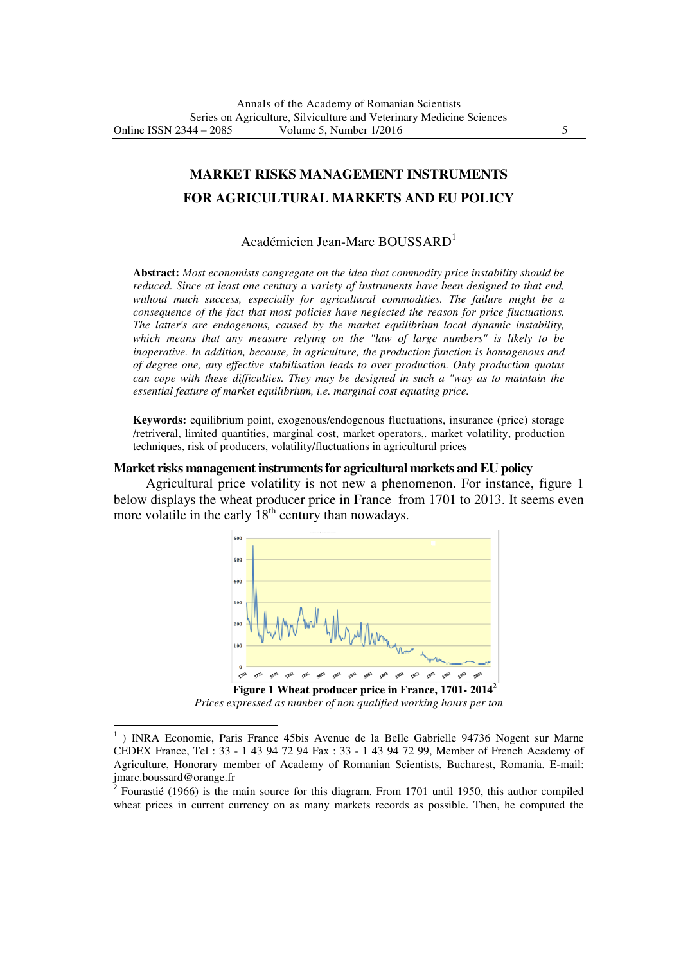# **MARKET RISKS MANAGEMENT INSTRUMENTS FOR AGRICULTURAL MARKETS AND EU POLICY**

## Académicien Jean-Marc BOUSSARD<sup>1</sup>

**Abstract:** *Most economists congregate on the idea that commodity price instability should be reduced. Since at least one century a variety of instruments have been designed to that end, without much success, especially for agricultural commodities. The failure might be a consequence of the fact that most policies have neglected the reason for price fluctuations. The latter's are endogenous, caused by the market equilibrium local dynamic instability, which means that any measure relying on the "law of large numbers" is likely to be inoperative. In addition, because, in agriculture, the production function is homogenous and of degree one, any effective stabilisation leads to over production. Only production quotas can cope with these difficulties. They may be designed in such a "way as to maintain the essential feature of market equilibrium, i.e. marginal cost equating price.*

**Keywords:** equilibrium point, exogenous/endogenous fluctuations, insurance (price) storage /retriveral, limited quantities, marginal cost, market operators,. market volatility, production techniques, risk of producers, volatility/fluctuations in agricultural prices

#### **Market risks management instruments for agricultural markets and EU policy**

Agricultural price volatility is not new a phenomenon. For instance, figure 1 below displays the wheat producer price in France from 1701 to 2013. It seems even more volatile in the early  $18<sup>th</sup>$  century than nowadays.



*Prices expressed as number of non qualified working hours per ton* 

<sup>&</sup>lt;sup>1</sup>) INRA Economie, Paris France 45bis Avenue de la Belle Gabrielle 94736 Nogent sur Marne CEDEX France, Tel : 33 - 1 43 94 72 94 Fax : 33 - 1 43 94 72 99, Member of French Academy of Agriculture, Honorary member of Academy of Romanian Scientists, Bucharest, Romania. E-mail: jmarc.boussard@orange.fr 2

Fourastié (1966) is the main source for this diagram. From 1701 until 1950, this author compiled wheat prices in current currency on as many markets records as possible. Then, he computed the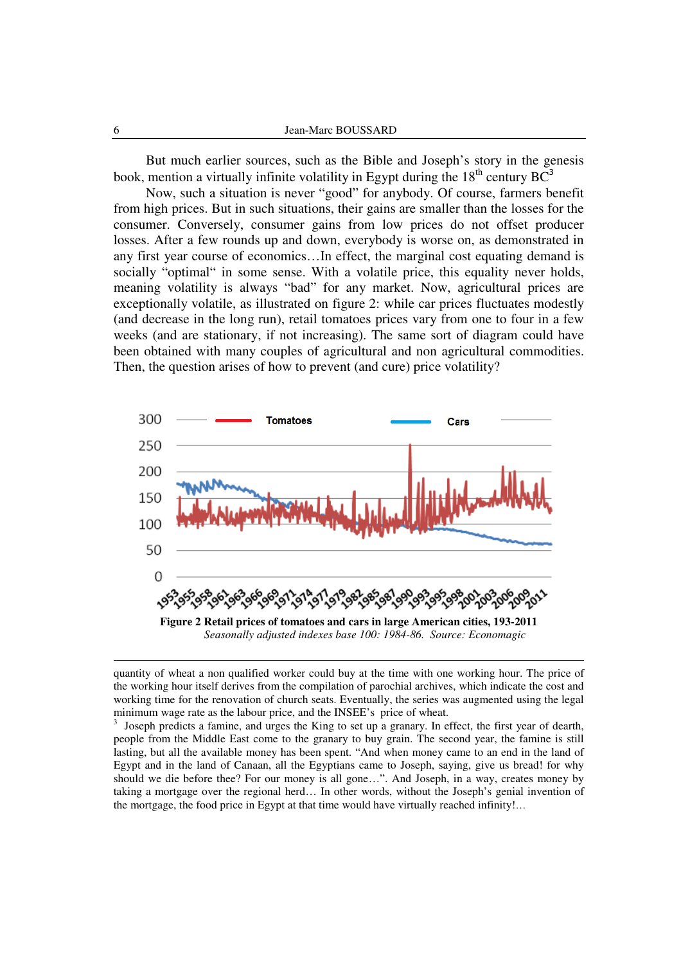But much earlier sources, such as the Bible and Joseph's story in the genesis book, mention a virtually infinite volatility in Egypt during the  $18<sup>th</sup>$  century BC<sup>3</sup>

Now, such a situation is never "good" for anybody. Of course, farmers benefit from high prices. But in such situations, their gains are smaller than the losses for the consumer. Conversely, consumer gains from low prices do not offset producer losses. After a few rounds up and down, everybody is worse on, as demonstrated in any first year course of economics…In effect, the marginal cost equating demand is socially "optimal" in some sense. With a volatile price, this equality never holds, meaning volatility is always "bad" for any market. Now, agricultural prices are exceptionally volatile, as illustrated on figure 2: while car prices fluctuates modestly (and decrease in the long run), retail tomatoes prices vary from one to four in a few weeks (and are stationary, if not increasing). The same sort of diagram could have been obtained with many couples of agricultural and non agricultural commodities. Then, the question arises of how to prevent (and cure) price volatility?



quantity of wheat a non qualified worker could buy at the time with one working hour. The price of the working hour itself derives from the compilation of parochial archives, which indicate the cost and working time for the renovation of church seats. Eventually, the series was augmented using the legal minimum wage rate as the labour price, and the INSEE's price of wheat.

3 Joseph predicts a famine, and urges the King to set up a granary. In effect, the first year of dearth, people from the Middle East come to the granary to buy grain. The second year, the famine is still lasting, but all the available money has been spent. "And when money came to an end in the land of Egypt and in the land of Canaan, all the Egyptians came to Joseph, saying, give us bread! for why should we die before thee? For our money is all gone…". And Joseph, in a way, creates money by taking a mortgage over the regional herd… In other words, without the Joseph's genial invention of the mortgage, the food price in Egypt at that time would have virtually reached infinity!…

l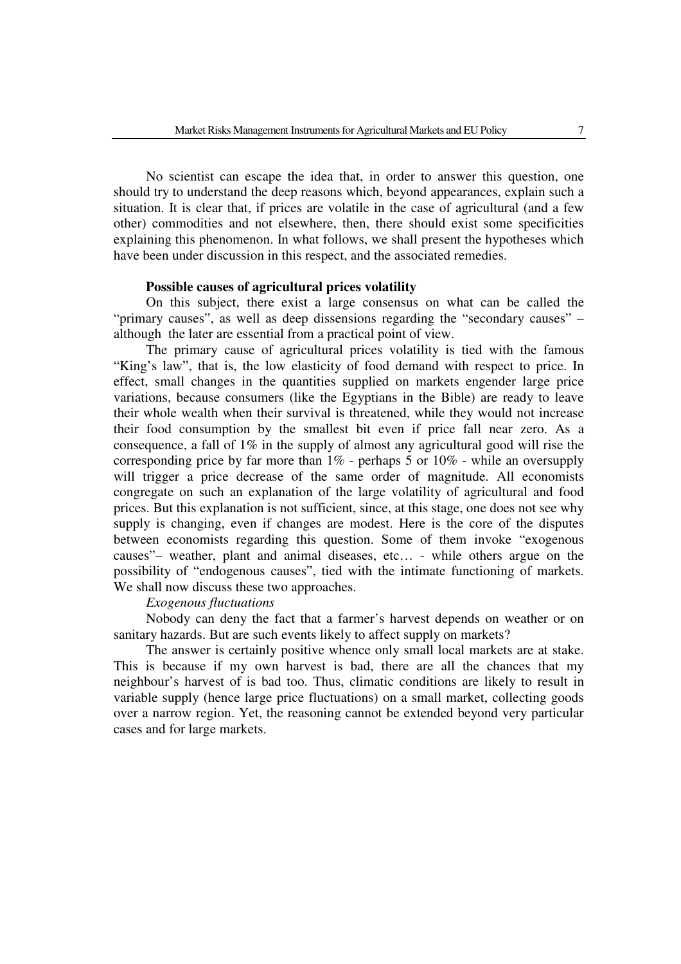No scientist can escape the idea that, in order to answer this question, one should try to understand the deep reasons which, beyond appearances, explain such a situation. It is clear that, if prices are volatile in the case of agricultural (and a few other) commodities and not elsewhere, then, there should exist some specificities explaining this phenomenon. In what follows, we shall present the hypotheses which have been under discussion in this respect, and the associated remedies.

### **Possible causes of agricultural prices volatility**

On this subject, there exist a large consensus on what can be called the "primary causes", as well as deep dissensions regarding the "secondary causes" – although the later are essential from a practical point of view.

 The primary cause of agricultural prices volatility is tied with the famous "King's law", that is, the low elasticity of food demand with respect to price. In effect, small changes in the quantities supplied on markets engender large price variations, because consumers (like the Egyptians in the Bible) are ready to leave their whole wealth when their survival is threatened, while they would not increase their food consumption by the smallest bit even if price fall near zero. As a consequence, a fall of 1% in the supply of almost any agricultural good will rise the corresponding price by far more than  $1\%$  - perhaps 5 or  $10\%$  - while an oversupply will trigger a price decrease of the same order of magnitude. All economists congregate on such an explanation of the large volatility of agricultural and food prices. But this explanation is not sufficient, since, at this stage, one does not see why supply is changing, even if changes are modest. Here is the core of the disputes between economists regarding this question. Some of them invoke "exogenous causes"– weather, plant and animal diseases, etc… - while others argue on the possibility of "endogenous causes", tied with the intimate functioning of markets. We shall now discuss these two approaches.

## *Exogenous fluctuations*

 Nobody can deny the fact that a farmer's harvest depends on weather or on sanitary hazards. But are such events likely to affect supply on markets?

 The answer is certainly positive whence only small local markets are at stake. This is because if my own harvest is bad, there are all the chances that my neighbour's harvest of is bad too. Thus, climatic conditions are likely to result in variable supply (hence large price fluctuations) on a small market, collecting goods over a narrow region. Yet, the reasoning cannot be extended beyond very particular cases and for large markets.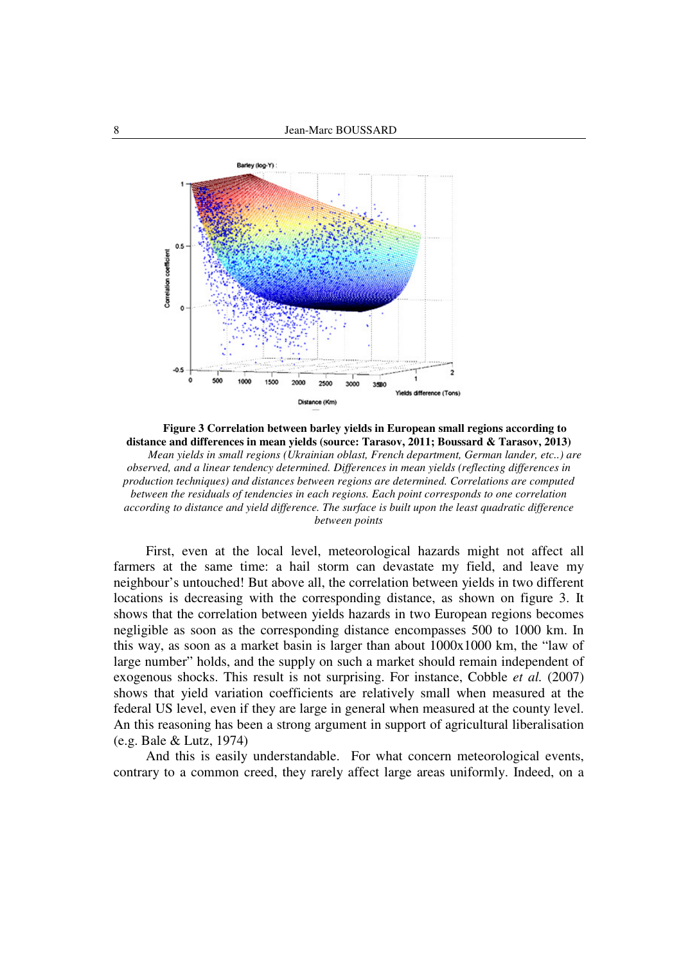

**Figure 3 Correlation between barley yields in European small regions according to distance and differences in mean yields (source: Tarasov, 2011; Boussard & Tarasov, 2013)**  *Mean yields in small regions (Ukrainian oblast, French department, German lander, etc..) are observed, and a linear tendency determined. Differences in mean yields (reflecting differences in production techniques) and distances between regions are determined. Correlations are computed between the residuals of tendencies in each regions. Each point corresponds to one correlation according to distance and yield difference. The surface is built upon the least quadratic difference between points* 

First, even at the local level, meteorological hazards might not affect all farmers at the same time: a hail storm can devastate my field, and leave my neighbour's untouched! But above all, the correlation between yields in two different locations is decreasing with the corresponding distance, as shown on figure 3. It shows that the correlation between yields hazards in two European regions becomes negligible as soon as the corresponding distance encompasses 500 to 1000 km. In this way, as soon as a market basin is larger than about 1000x1000 km, the "law of large number" holds, and the supply on such a market should remain independent of exogenous shocks. This result is not surprising. For instance, Cobble *et al.* (2007) shows that yield variation coefficients are relatively small when measured at the federal US level, even if they are large in general when measured at the county level. An this reasoning has been a strong argument in support of agricultural liberalisation (e.g. Bale & Lutz, 1974)

And this is easily understandable. For what concern meteorological events, contrary to a common creed, they rarely affect large areas uniformly. Indeed, on a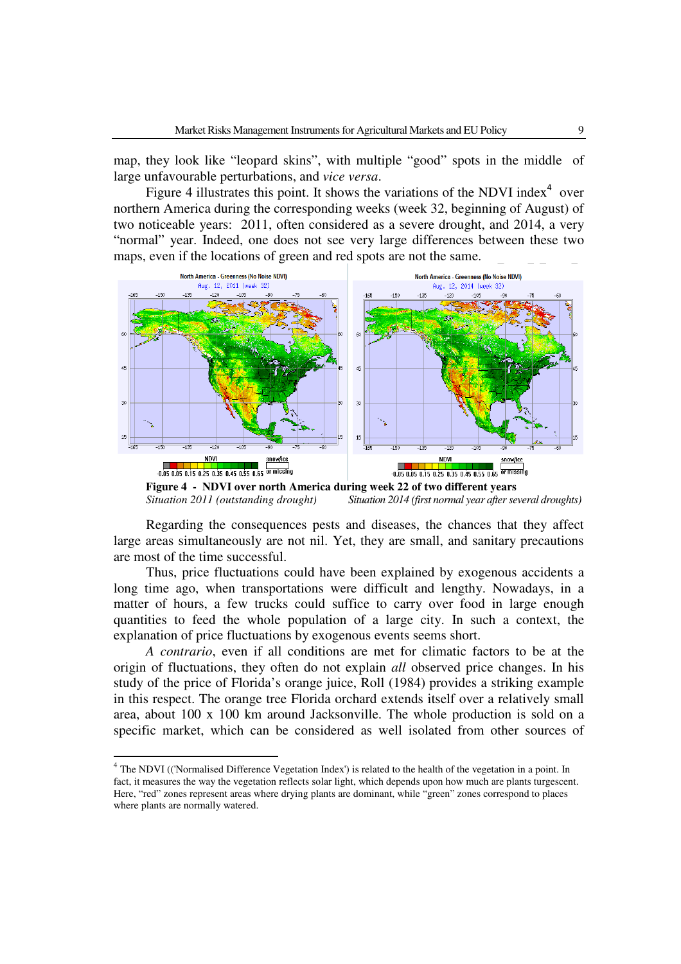map, they look like "leopard skins", with multiple "good" spots in the middle of large unfavourable perturbations, and *vice versa*.

Figure 4 illustrates this point. It shows the variations of the NDVI index $4$  over northern America during the corresponding weeks (week 32, beginning of August) of two noticeable years: 2011, often considered as a severe drought, and 2014, a very "normal" year. Indeed, one does not see very large differences between these two maps, even if the locations of green and red spots are not the same.



**Figure 4 - NDVI over north America during week 22 of two different years**  *Situation 2011 (outstanding drought) Situation 2014 (first normal year after several droughts)*

Regarding the consequences pests and diseases, the chances that they affect large areas simultaneously are not nil. Yet, they are small, and sanitary precautions are most of the time successful.

Thus, price fluctuations could have been explained by exogenous accidents a long time ago, when transportations were difficult and lengthy. Nowadays, in a matter of hours, a few trucks could suffice to carry over food in large enough quantities to feed the whole population of a large city. In such a context, the explanation of price fluctuations by exogenous events seems short.

*A contrario*, even if all conditions are met for climatic factors to be at the origin of fluctuations, they often do not explain *all* observed price changes. In his study of the price of Florida's orange juice, Roll (1984) provides a striking example in this respect. The orange tree Florida orchard extends itself over a relatively small area, about 100 x 100 km around Jacksonville. The whole production is sold on a specific market, which can be considered as well isolated from other sources of

l

 $4$  The NDVI (('Normalised Difference Vegetation Index') is related to the health of the vegetation in a point. In fact, it measures the way the vegetation reflects solar light, which depends upon how much are plants turgescent. Here, "red" zones represent areas where drying plants are dominant, while "green" zones correspond to places where plants are normally watered.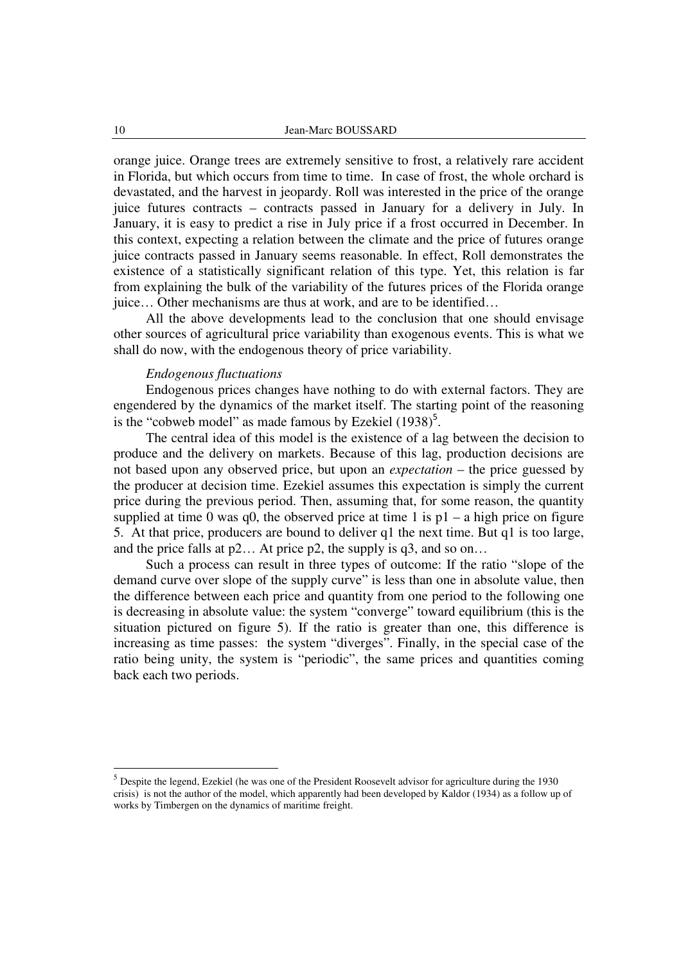orange juice. Orange trees are extremely sensitive to frost, a relatively rare accident in Florida, but which occurs from time to time. In case of frost, the whole orchard is devastated, and the harvest in jeopardy. Roll was interested in the price of the orange juice futures contracts – contracts passed in January for a delivery in July. In January, it is easy to predict a rise in July price if a frost occurred in December. In this context, expecting a relation between the climate and the price of futures orange juice contracts passed in January seems reasonable. In effect, Roll demonstrates the existence of a statistically significant relation of this type. Yet, this relation is far from explaining the bulk of the variability of the futures prices of the Florida orange juice… Other mechanisms are thus at work, and are to be identified…

All the above developments lead to the conclusion that one should envisage other sources of agricultural price variability than exogenous events. This is what we shall do now, with the endogenous theory of price variability.

## *Endogenous fluctuations*

Endogenous prices changes have nothing to do with external factors. They are engendered by the dynamics of the market itself. The starting point of the reasoning is the "cobweb model" as made famous by Ezekiel  $(1938)^5$ .

The central idea of this model is the existence of a lag between the decision to produce and the delivery on markets. Because of this lag, production decisions are not based upon any observed price, but upon an *expectation* – the price guessed by the producer at decision time. Ezekiel assumes this expectation is simply the current price during the previous period. Then, assuming that, for some reason, the quantity supplied at time 0 was  $q0$ , the observed price at time 1 is  $p1 - a$  high price on figure 5. At that price, producers are bound to deliver q1 the next time. But q1 is too large, and the price falls at  $p2...$  At price  $p2$ , the supply is  $q3$ , and so on...

Such a process can result in three types of outcome: If the ratio "slope of the demand curve over slope of the supply curve" is less than one in absolute value, then the difference between each price and quantity from one period to the following one is decreasing in absolute value: the system "converge" toward equilibrium (this is the situation pictured on figure 5). If the ratio is greater than one, this difference is increasing as time passes: the system "diverges". Finally, in the special case of the ratio being unity, the system is "periodic", the same prices and quantities coming back each two periods.

<sup>5</sup> Despite the legend, Ezekiel (he was one of the President Roosevelt advisor for agriculture during the 1930 crisis) is not the author of the model, which apparently had been developed by Kaldor (1934) as a follow up of works by Timbergen on the dynamics of maritime freight.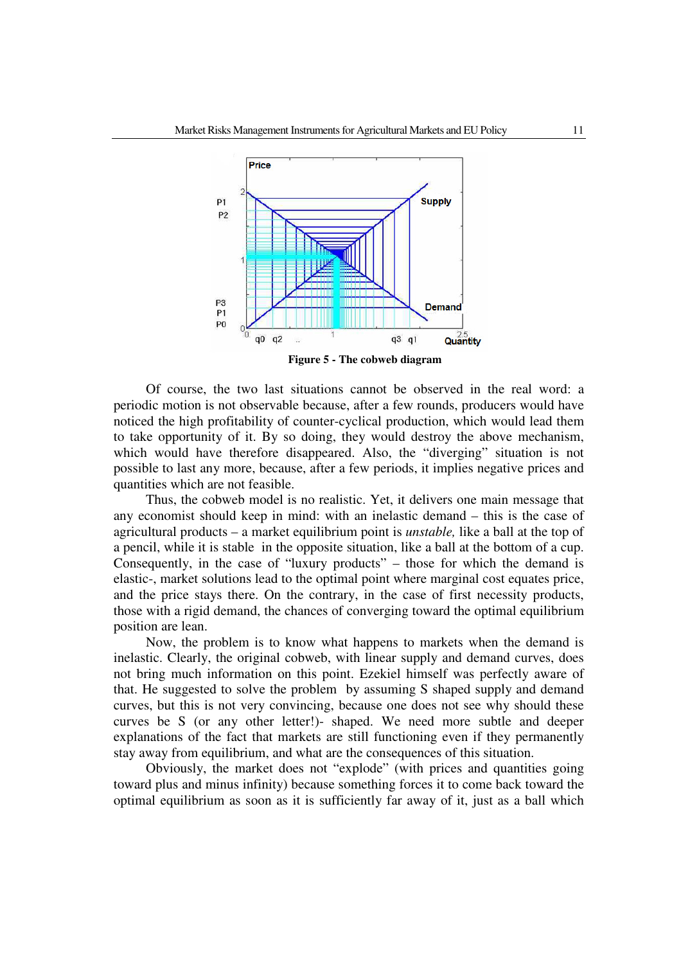

Of course, the two last situations cannot be observed in the real word: a periodic motion is not observable because, after a few rounds, producers would have noticed the high profitability of counter-cyclical production, which would lead them to take opportunity of it. By so doing, they would destroy the above mechanism, which would have therefore disappeared. Also, the "diverging" situation is not possible to last any more, because, after a few periods, it implies negative prices and quantities which are not feasible.

Thus, the cobweb model is no realistic. Yet, it delivers one main message that any economist should keep in mind: with an inelastic demand – this is the case of agricultural products – a market equilibrium point is *unstable,* like a ball at the top of a pencil, while it is stable in the opposite situation, like a ball at the bottom of a cup. Consequently, in the case of "luxury products" – those for which the demand is elastic-, market solutions lead to the optimal point where marginal cost equates price, and the price stays there. On the contrary, in the case of first necessity products, those with a rigid demand, the chances of converging toward the optimal equilibrium position are lean.

Now, the problem is to know what happens to markets when the demand is inelastic. Clearly, the original cobweb, with linear supply and demand curves, does not bring much information on this point. Ezekiel himself was perfectly aware of that. He suggested to solve the problem by assuming S shaped supply and demand curves, but this is not very convincing, because one does not see why should these curves be S (or any other letter!)- shaped. We need more subtle and deeper explanations of the fact that markets are still functioning even if they permanently stay away from equilibrium, and what are the consequences of this situation.

Obviously, the market does not "explode" (with prices and quantities going toward plus and minus infinity) because something forces it to come back toward the optimal equilibrium as soon as it is sufficiently far away of it, just as a ball which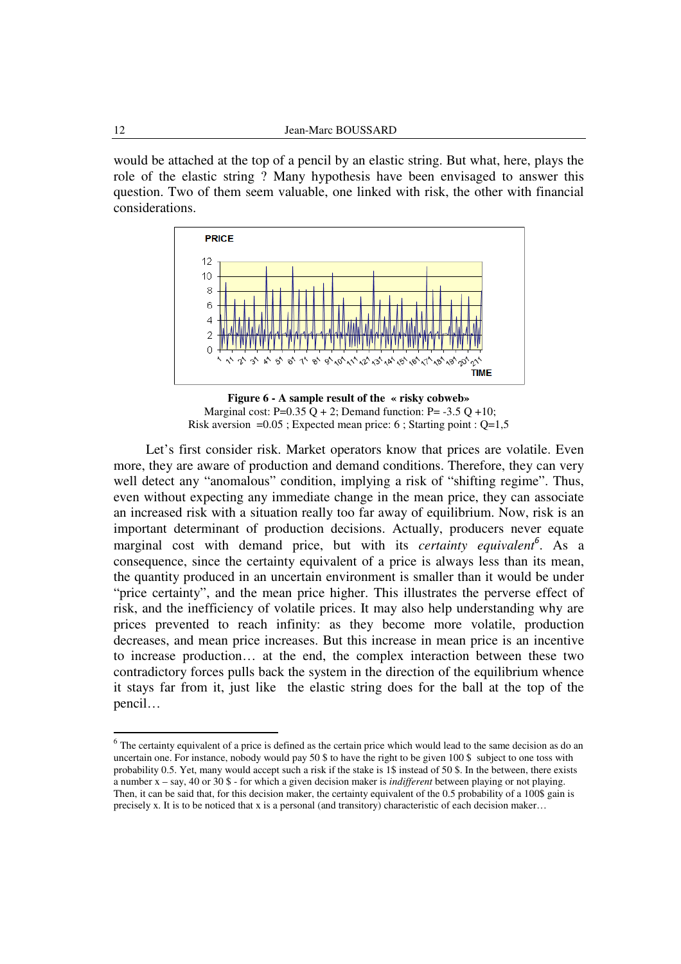would be attached at the top of a pencil by an elastic string. But what, here, plays the role of the elastic string ? Many hypothesis have been envisaged to answer this question. Two of them seem valuable, one linked with risk, the other with financial considerations.



**Figure 6 - A sample result of the « risky cobweb»**  Marginal cost:  $P=0.35 Q + 2$ ; Demand function:  $P=-3.5 Q +10$ ; Risk aversion  $=0.05$ ; Expected mean price: 6; Starting point : Q=1,5

Let's first consider risk. Market operators know that prices are volatile. Even more, they are aware of production and demand conditions. Therefore, they can very well detect any "anomalous" condition, implying a risk of "shifting regime". Thus, even without expecting any immediate change in the mean price, they can associate an increased risk with a situation really too far away of equilibrium. Now, risk is an important determinant of production decisions. Actually, producers never equate marginal cost with demand price, but with its *certainty equivalent*<sup>6</sup>. As a consequence, since the certainty equivalent of a price is always less than its mean, the quantity produced in an uncertain environment is smaller than it would be under "price certainty", and the mean price higher. This illustrates the perverse effect of risk, and the inefficiency of volatile prices. It may also help understanding why are prices prevented to reach infinity: as they become more volatile, production decreases, and mean price increases. But this increase in mean price is an incentive to increase production… at the end, the complex interaction between these two contradictory forces pulls back the system in the direction of the equilibrium whence it stays far from it, just like the elastic string does for the ball at the top of the pencil…

 $6$  The certainty equivalent of a price is defined as the certain price which would lead to the same decision as do an uncertain one. For instance, nobody would pay 50 \$ to have the right to be given 100 \$ subject to one toss with probability 0.5. Yet, many would accept such a risk if the stake is 1\$ instead of 50 \$. In the between, there exists a number x – say, 40 or 30 \$ - for which a given decision maker is *indifferent* between playing or not playing. Then, it can be said that, for this decision maker, the certainty equivalent of the 0.5 probability of a 100\$ gain is precisely x. It is to be noticed that x is a personal (and transitory) characteristic of each decision maker…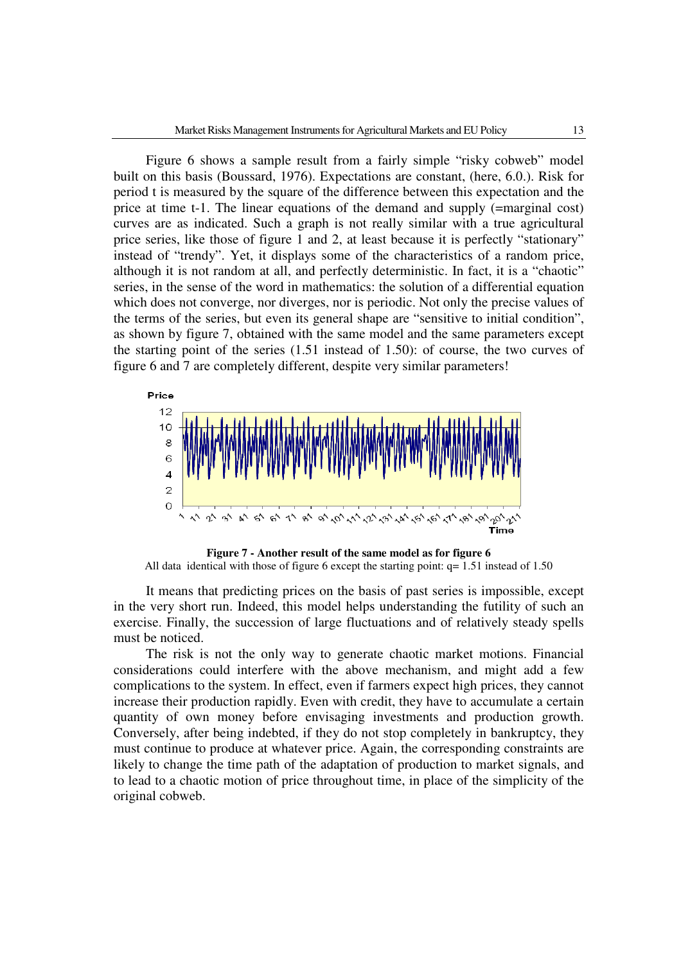Figure 6 shows a sample result from a fairly simple "risky cobweb" model built on this basis (Boussard, 1976). Expectations are constant, (here, 6.0.). Risk for period t is measured by the square of the difference between this expectation and the price at time t-1. The linear equations of the demand and supply (=marginal cost) curves are as indicated. Such a graph is not really similar with a true agricultural price series, like those of figure 1 and 2, at least because it is perfectly "stationary" instead of "trendy". Yet, it displays some of the characteristics of a random price, although it is not random at all, and perfectly deterministic. In fact, it is a "chaotic" series, in the sense of the word in mathematics: the solution of a differential equation which does not converge, nor diverges, nor is periodic. Not only the precise values of the terms of the series, but even its general shape are "sensitive to initial condition", as shown by figure 7, obtained with the same model and the same parameters except the starting point of the series (1.51 instead of 1.50): of course, the two curves of figure 6 and 7 are completely different, despite very similar parameters!



**Figure 7 - Another result of the same model as for figure 6**  All data identical with those of figure 6 except the starting point:  $q= 1.51$  instead of 1.50

It means that predicting prices on the basis of past series is impossible, except in the very short run. Indeed, this model helps understanding the futility of such an exercise. Finally, the succession of large fluctuations and of relatively steady spells must be noticed.

The risk is not the only way to generate chaotic market motions. Financial considerations could interfere with the above mechanism, and might add a few complications to the system. In effect, even if farmers expect high prices, they cannot increase their production rapidly. Even with credit, they have to accumulate a certain quantity of own money before envisaging investments and production growth. Conversely, after being indebted, if they do not stop completely in bankruptcy, they must continue to produce at whatever price. Again, the corresponding constraints are likely to change the time path of the adaptation of production to market signals, and to lead to a chaotic motion of price throughout time, in place of the simplicity of the original cobweb.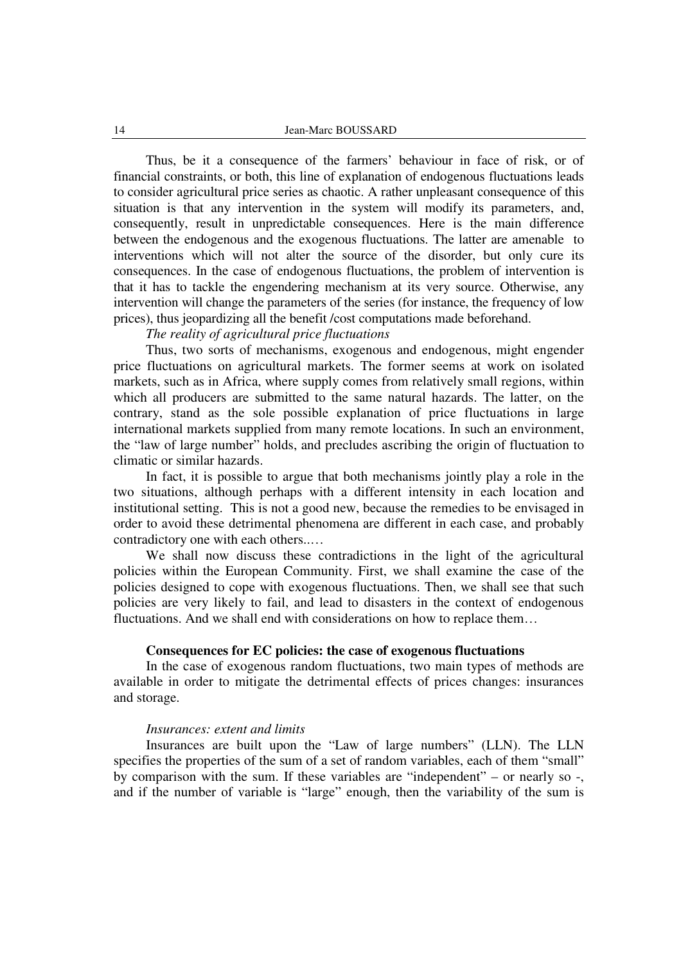Thus, be it a consequence of the farmers' behaviour in face of risk, or of financial constraints, or both, this line of explanation of endogenous fluctuations leads to consider agricultural price series as chaotic. A rather unpleasant consequence of this situation is that any intervention in the system will modify its parameters, and, consequently, result in unpredictable consequences. Here is the main difference between the endogenous and the exogenous fluctuations. The latter are amenable to interventions which will not alter the source of the disorder, but only cure its consequences. In the case of endogenous fluctuations, the problem of intervention is that it has to tackle the engendering mechanism at its very source. Otherwise, any intervention will change the parameters of the series (for instance, the frequency of low prices), thus jeopardizing all the benefit /cost computations made beforehand.

*The reality of agricultural price fluctuations* 

Thus, two sorts of mechanisms, exogenous and endogenous, might engender price fluctuations on agricultural markets. The former seems at work on isolated markets, such as in Africa, where supply comes from relatively small regions, within which all producers are submitted to the same natural hazards. The latter, on the contrary, stand as the sole possible explanation of price fluctuations in large international markets supplied from many remote locations. In such an environment, the "law of large number" holds, and precludes ascribing the origin of fluctuation to climatic or similar hazards.

In fact, it is possible to argue that both mechanisms jointly play a role in the two situations, although perhaps with a different intensity in each location and institutional setting. This is not a good new, because the remedies to be envisaged in order to avoid these detrimental phenomena are different in each case, and probably contradictory one with each others..…

We shall now discuss these contradictions in the light of the agricultural policies within the European Community. First, we shall examine the case of the policies designed to cope with exogenous fluctuations. Then, we shall see that such policies are very likely to fail, and lead to disasters in the context of endogenous fluctuations. And we shall end with considerations on how to replace them…

## **Consequences for EC policies: the case of exogenous fluctuations**

 In the case of exogenous random fluctuations, two main types of methods are available in order to mitigate the detrimental effects of prices changes: insurances and storage.

#### *Insurances: extent and limits*

Insurances are built upon the "Law of large numbers" (LLN). The LLN specifies the properties of the sum of a set of random variables, each of them "small" by comparison with the sum. If these variables are "independent" – or nearly so -, and if the number of variable is "large" enough, then the variability of the sum is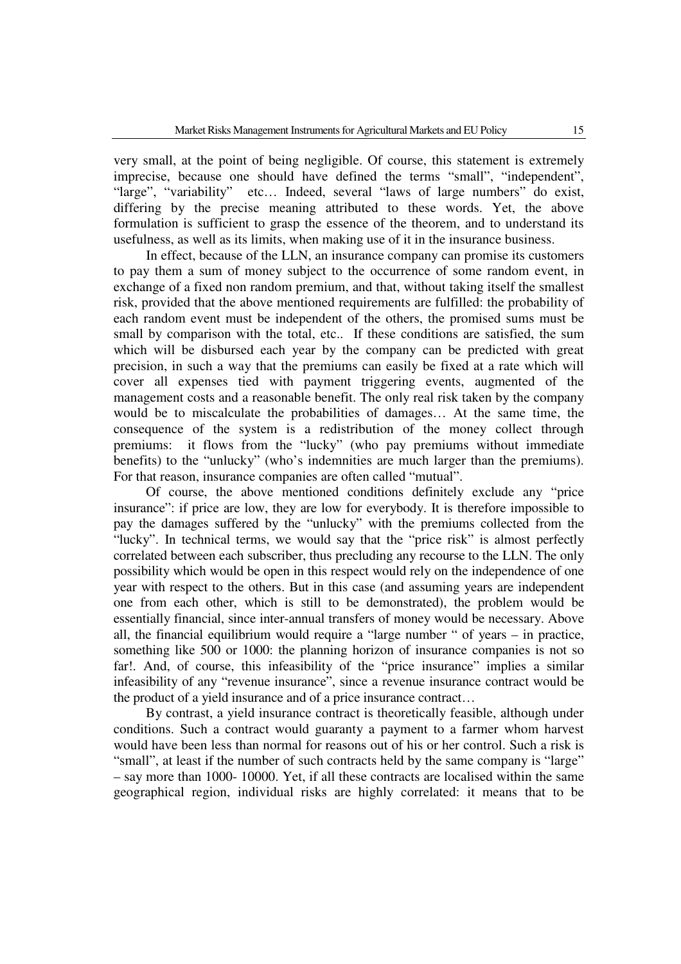very small, at the point of being negligible. Of course, this statement is extremely imprecise, because one should have defined the terms "small", "independent", "large", "variability" etc… Indeed, several "laws of large numbers" do exist, differing by the precise meaning attributed to these words. Yet, the above formulation is sufficient to grasp the essence of the theorem, and to understand its usefulness, as well as its limits, when making use of it in the insurance business.

 In effect, because of the LLN, an insurance company can promise its customers to pay them a sum of money subject to the occurrence of some random event, in exchange of a fixed non random premium, and that, without taking itself the smallest risk, provided that the above mentioned requirements are fulfilled: the probability of each random event must be independent of the others, the promised sums must be small by comparison with the total, etc.. If these conditions are satisfied, the sum which will be disbursed each year by the company can be predicted with great precision, in such a way that the premiums can easily be fixed at a rate which will cover all expenses tied with payment triggering events, augmented of the management costs and a reasonable benefit. The only real risk taken by the company would be to miscalculate the probabilities of damages… At the same time, the consequence of the system is a redistribution of the money collect through premiums: it flows from the "lucky" (who pay premiums without immediate benefits) to the "unlucky" (who's indemnities are much larger than the premiums). For that reason, insurance companies are often called "mutual".

Of course, the above mentioned conditions definitely exclude any "price insurance": if price are low, they are low for everybody. It is therefore impossible to pay the damages suffered by the "unlucky" with the premiums collected from the "lucky". In technical terms, we would say that the "price risk" is almost perfectly correlated between each subscriber, thus precluding any recourse to the LLN. The only possibility which would be open in this respect would rely on the independence of one year with respect to the others. But in this case (and assuming years are independent one from each other, which is still to be demonstrated), the problem would be essentially financial, since inter-annual transfers of money would be necessary. Above all, the financial equilibrium would require a "large number " of years – in practice, something like 500 or 1000: the planning horizon of insurance companies is not so far!. And, of course, this infeasibility of the "price insurance" implies a similar infeasibility of any "revenue insurance", since a revenue insurance contract would be the product of a yield insurance and of a price insurance contract…

By contrast, a yield insurance contract is theoretically feasible, although under conditions. Such a contract would guaranty a payment to a farmer whom harvest would have been less than normal for reasons out of his or her control. Such a risk is "small", at least if the number of such contracts held by the same company is "large" – say more than 1000- 10000. Yet, if all these contracts are localised within the same geographical region, individual risks are highly correlated: it means that to be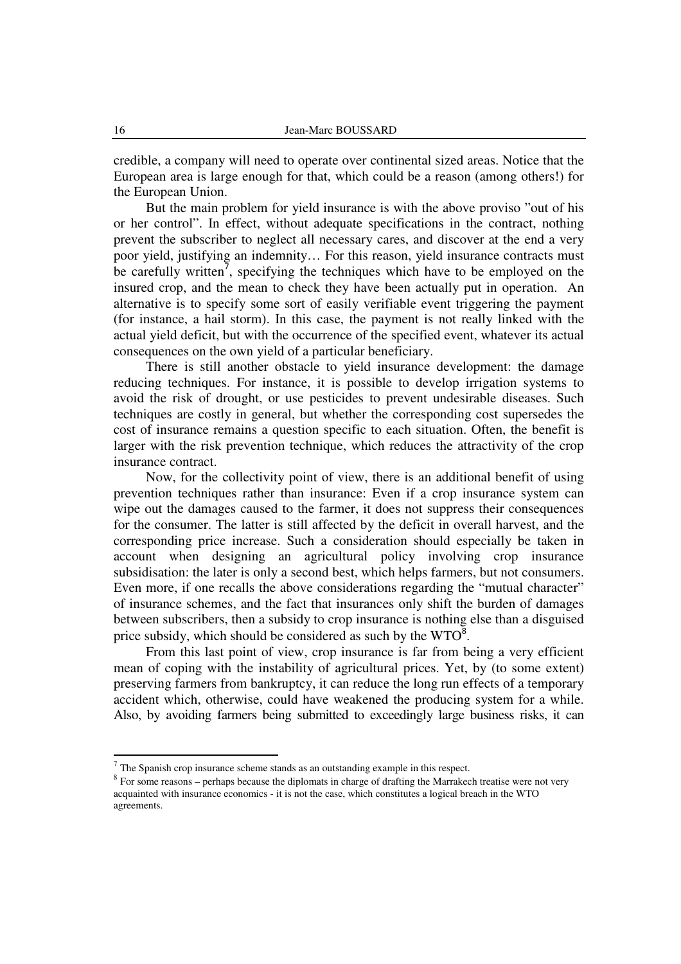credible, a company will need to operate over continental sized areas. Notice that the European area is large enough for that, which could be a reason (among others!) for the European Union.

But the main problem for yield insurance is with the above proviso "out of his or her control". In effect, without adequate specifications in the contract, nothing prevent the subscriber to neglect all necessary cares, and discover at the end a very poor yield, justifying an indemnity… For this reason, yield insurance contracts must be carefully written<sup>7</sup>, specifying the techniques which have to be employed on the insured crop, and the mean to check they have been actually put in operation. An alternative is to specify some sort of easily verifiable event triggering the payment (for instance, a hail storm). In this case, the payment is not really linked with the actual yield deficit, but with the occurrence of the specified event, whatever its actual consequences on the own yield of a particular beneficiary.

There is still another obstacle to yield insurance development: the damage reducing techniques. For instance, it is possible to develop irrigation systems to avoid the risk of drought, or use pesticides to prevent undesirable diseases. Such techniques are costly in general, but whether the corresponding cost supersedes the cost of insurance remains a question specific to each situation. Often, the benefit is larger with the risk prevention technique, which reduces the attractivity of the crop insurance contract.

Now, for the collectivity point of view, there is an additional benefit of using prevention techniques rather than insurance: Even if a crop insurance system can wipe out the damages caused to the farmer, it does not suppress their consequences for the consumer. The latter is still affected by the deficit in overall harvest, and the corresponding price increase. Such a consideration should especially be taken in account when designing an agricultural policy involving crop insurance subsidisation: the later is only a second best, which helps farmers, but not consumers. Even more, if one recalls the above considerations regarding the "mutual character" of insurance schemes, and the fact that insurances only shift the burden of damages between subscribers, then a subsidy to crop insurance is nothing else than a disguised price subsidy, which should be considered as such by the  $WTO^8$ .

From this last point of view, crop insurance is far from being a very efficient mean of coping with the instability of agricultural prices. Yet, by (to some extent) preserving farmers from bankruptcy, it can reduce the long run effects of a temporary accident which, otherwise, could have weakened the producing system for a while. Also, by avoiding farmers being submitted to exceedingly large business risks, it can

l

 $<sup>7</sup>$  The Spanish crop insurance scheme stands as an outstanding example in this respect.</sup>

<sup>&</sup>lt;sup>8</sup> For some reasons – perhaps because the diplomats in charge of drafting the Marrakech treatise were not very acquainted with insurance economics - it is not the case, which constitutes a logical breach in the WTO agreements.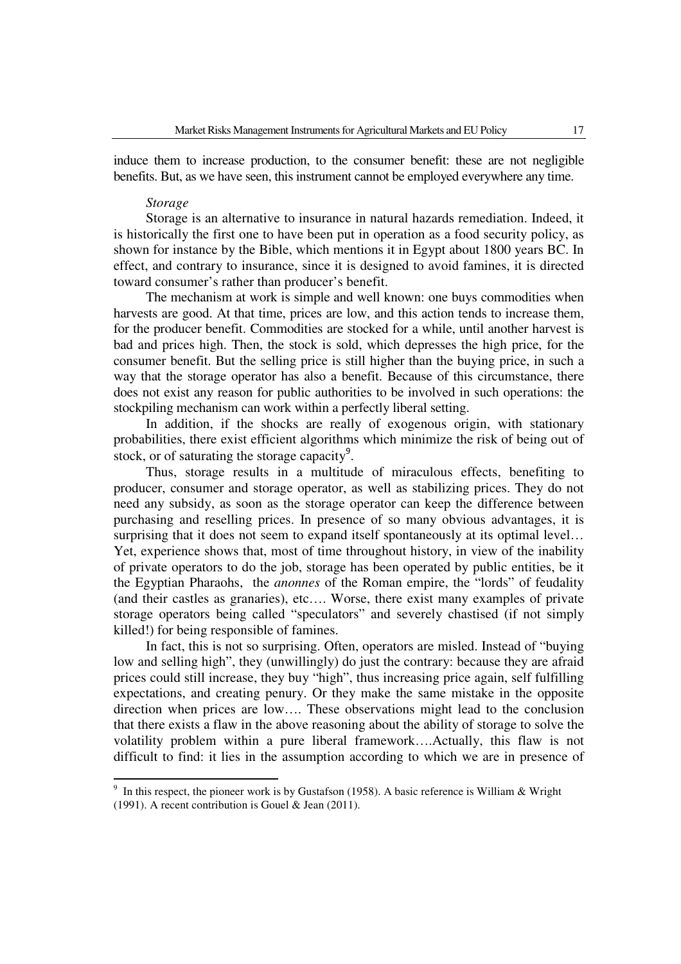induce them to increase production, to the consumer benefit: these are not negligible benefits. But, as we have seen, this instrument cannot be employed everywhere any time.

#### *Storage*

l

Storage is an alternative to insurance in natural hazards remediation. Indeed, it is historically the first one to have been put in operation as a food security policy, as shown for instance by the Bible, which mentions it in Egypt about 1800 years BC. In effect, and contrary to insurance, since it is designed to avoid famines, it is directed toward consumer's rather than producer's benefit.

The mechanism at work is simple and well known: one buys commodities when harvests are good. At that time, prices are low, and this action tends to increase them, for the producer benefit. Commodities are stocked for a while, until another harvest is bad and prices high. Then, the stock is sold, which depresses the high price, for the consumer benefit. But the selling price is still higher than the buying price, in such a way that the storage operator has also a benefit. Because of this circumstance, there does not exist any reason for public authorities to be involved in such operations: the stockpiling mechanism can work within a perfectly liberal setting.

In addition, if the shocks are really of exogenous origin, with stationary probabilities, there exist efficient algorithms which minimize the risk of being out of stock, or of saturating the storage capacity $9$ .

Thus, storage results in a multitude of miraculous effects, benefiting to producer, consumer and storage operator, as well as stabilizing prices. They do not need any subsidy, as soon as the storage operator can keep the difference between purchasing and reselling prices. In presence of so many obvious advantages, it is surprising that it does not seem to expand itself spontaneously at its optimal level... Yet, experience shows that, most of time throughout history, in view of the inability of private operators to do the job, storage has been operated by public entities, be it the Egyptian Pharaohs, the *anonnes* of the Roman empire, the "lords" of feudality (and their castles as granaries), etc…. Worse, there exist many examples of private storage operators being called "speculators" and severely chastised (if not simply killed!) for being responsible of famines.

In fact, this is not so surprising. Often, operators are misled. Instead of "buying low and selling high", they (unwillingly) do just the contrary: because they are afraid prices could still increase, they buy "high", thus increasing price again, self fulfilling expectations, and creating penury. Or they make the same mistake in the opposite direction when prices are low…. These observations might lead to the conclusion that there exists a flaw in the above reasoning about the ability of storage to solve the volatility problem within a pure liberal framework….Actually, this flaw is not difficult to find: it lies in the assumption according to which we are in presence of

<sup>9</sup> In this respect, the pioneer work is by Gustafson (1958). A basic reference is William & Wright (1991). A recent contribution is Gouel & Jean (2011).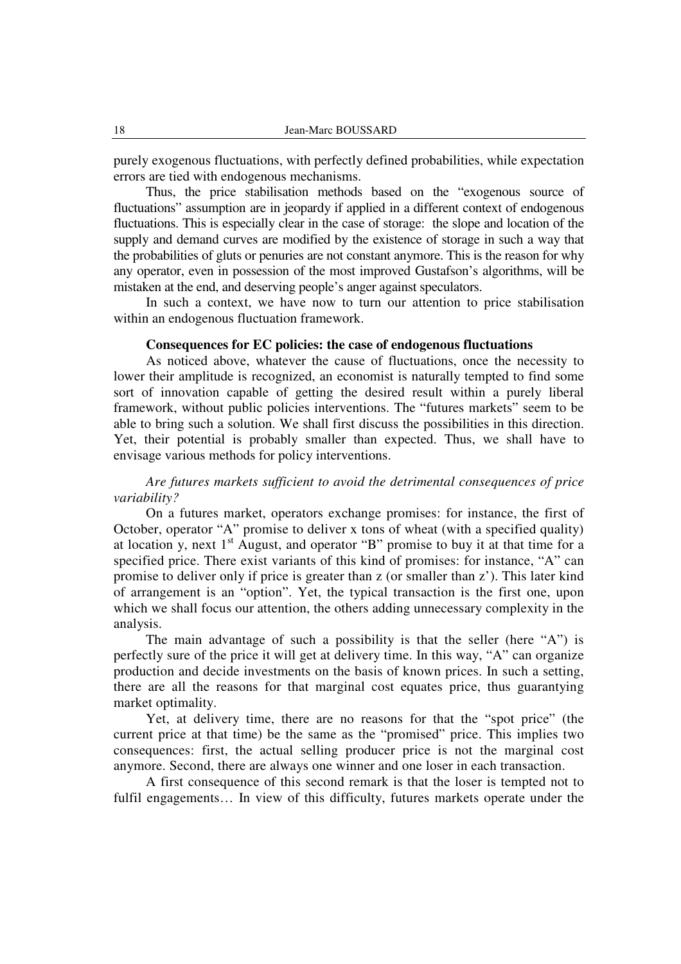purely exogenous fluctuations, with perfectly defined probabilities, while expectation errors are tied with endogenous mechanisms.

Thus, the price stabilisation methods based on the "exogenous source of fluctuations" assumption are in jeopardy if applied in a different context of endogenous fluctuations. This is especially clear in the case of storage: the slope and location of the supply and demand curves are modified by the existence of storage in such a way that the probabilities of gluts or penuries are not constant anymore. This is the reason for why any operator, even in possession of the most improved Gustafson's algorithms, will be mistaken at the end, and deserving people's anger against speculators.

In such a context, we have now to turn our attention to price stabilisation within an endogenous fluctuation framework.

## **Consequences for EC policies: the case of endogenous fluctuations**

 As noticed above, whatever the cause of fluctuations, once the necessity to lower their amplitude is recognized, an economist is naturally tempted to find some sort of innovation capable of getting the desired result within a purely liberal framework, without public policies interventions. The "futures markets" seem to be able to bring such a solution. We shall first discuss the possibilities in this direction. Yet, their potential is probably smaller than expected. Thus, we shall have to envisage various methods for policy interventions.

## *Are futures markets sufficient to avoid the detrimental consequences of price variability?*

On a futures market, operators exchange promises: for instance, the first of October, operator "A" promise to deliver x tons of wheat (with a specified quality) at location y, next  $1<sup>st</sup>$  August, and operator "B" promise to buy it at that time for a specified price. There exist variants of this kind of promises: for instance, "A" can promise to deliver only if price is greater than z (or smaller than z'). This later kind of arrangement is an "option". Yet, the typical transaction is the first one, upon which we shall focus our attention, the others adding unnecessary complexity in the analysis.

The main advantage of such a possibility is that the seller (here "A") is perfectly sure of the price it will get at delivery time. In this way, "A" can organize production and decide investments on the basis of known prices. In such a setting, there are all the reasons for that marginal cost equates price, thus guarantying market optimality.

Yet, at delivery time, there are no reasons for that the "spot price" (the current price at that time) be the same as the "promised" price. This implies two consequences: first, the actual selling producer price is not the marginal cost anymore. Second, there are always one winner and one loser in each transaction.

A first consequence of this second remark is that the loser is tempted not to fulfil engagements… In view of this difficulty, futures markets operate under the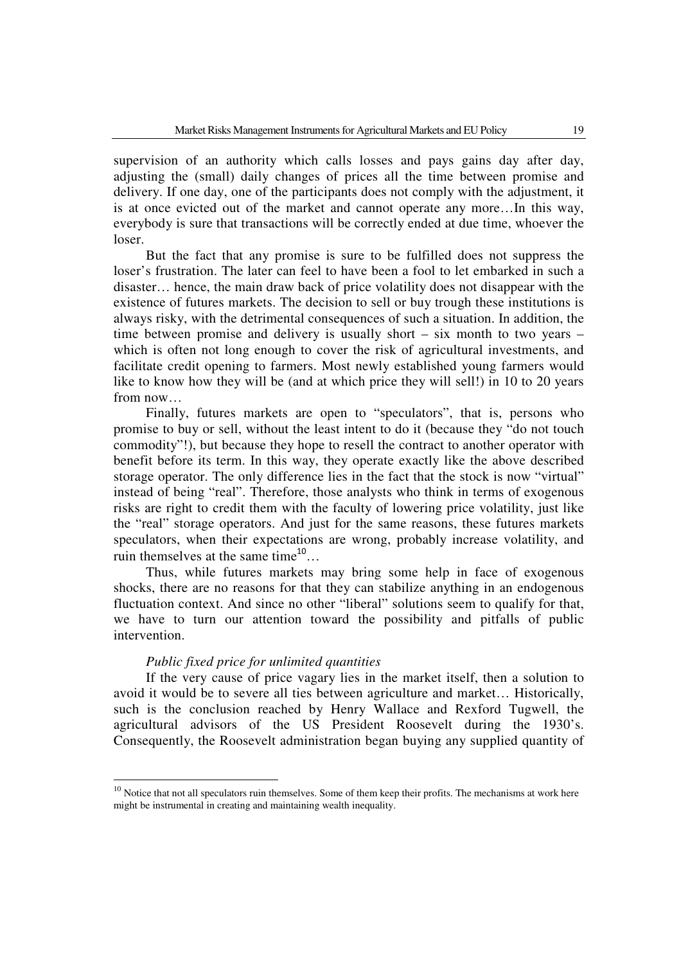supervision of an authority which calls losses and pays gains day after day, adjusting the (small) daily changes of prices all the time between promise and delivery. If one day, one of the participants does not comply with the adjustment, it is at once evicted out of the market and cannot operate any more…In this way, everybody is sure that transactions will be correctly ended at due time, whoever the loser.

But the fact that any promise is sure to be fulfilled does not suppress the loser's frustration. The later can feel to have been a fool to let embarked in such a disaster… hence, the main draw back of price volatility does not disappear with the existence of futures markets. The decision to sell or buy trough these institutions is always risky, with the detrimental consequences of such a situation. In addition, the time between promise and delivery is usually short – six month to two years – which is often not long enough to cover the risk of agricultural investments, and facilitate credit opening to farmers. Most newly established young farmers would like to know how they will be (and at which price they will sell!) in 10 to 20 years from now…

Finally, futures markets are open to "speculators", that is, persons who promise to buy or sell, without the least intent to do it (because they "do not touch commodity"!), but because they hope to resell the contract to another operator with benefit before its term. In this way, they operate exactly like the above described storage operator. The only difference lies in the fact that the stock is now "virtual" instead of being "real". Therefore, those analysts who think in terms of exogenous risks are right to credit them with the faculty of lowering price volatility, just like the "real" storage operators. And just for the same reasons, these futures markets speculators, when their expectations are wrong, probably increase volatility, and ruin themselves at the same time $10^{10}$ ...

Thus, while futures markets may bring some help in face of exogenous shocks, there are no reasons for that they can stabilize anything in an endogenous fluctuation context. And since no other "liberal" solutions seem to qualify for that, we have to turn our attention toward the possibility and pitfalls of public intervention.

## *Public fixed price for unlimited quantities*

l

If the very cause of price vagary lies in the market itself, then a solution to avoid it would be to severe all ties between agriculture and market… Historically, such is the conclusion reached by Henry Wallace and Rexford Tugwell, the agricultural advisors of the US President Roosevelt during the 1930's. Consequently, the Roosevelt administration began buying any supplied quantity of

 $10$  Notice that not all speculators ruin themselves. Some of them keep their profits. The mechanisms at work here might be instrumental in creating and maintaining wealth inequality.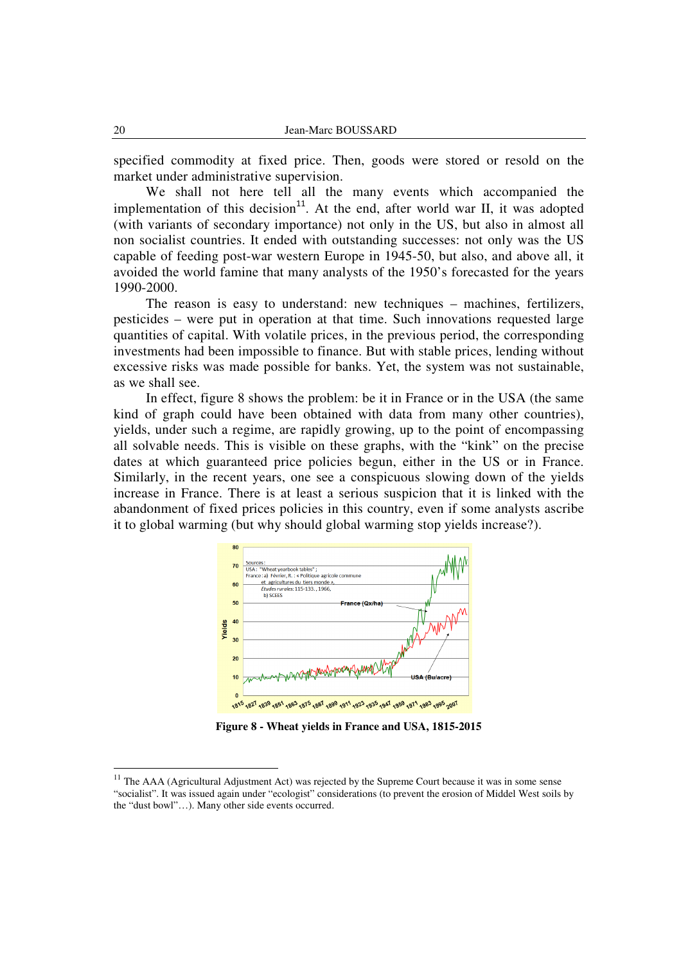specified commodity at fixed price. Then, goods were stored or resold on the market under administrative supervision.

We shall not here tell all the many events which accompanied the implementation of this decision<sup>11</sup>. At the end, after world war II, it was adopted (with variants of secondary importance) not only in the US, but also in almost all non socialist countries. It ended with outstanding successes: not only was the US capable of feeding post-war western Europe in 1945-50, but also, and above all, it avoided the world famine that many analysts of the 1950's forecasted for the years 1990-2000.

The reason is easy to understand: new techniques – machines, fertilizers, pesticides – were put in operation at that time. Such innovations requested large quantities of capital. With volatile prices, in the previous period, the corresponding investments had been impossible to finance. But with stable prices, lending without excessive risks was made possible for banks. Yet, the system was not sustainable, as we shall see.

In effect, figure 8 shows the problem: be it in France or in the USA (the same kind of graph could have been obtained with data from many other countries), yields, under such a regime, are rapidly growing, up to the point of encompassing all solvable needs. This is visible on these graphs, with the "kink" on the precise dates at which guaranteed price policies begun, either in the US or in France. Similarly, in the recent years, one see a conspicuous slowing down of the yields increase in France. There is at least a serious suspicion that it is linked with the abandonment of fixed prices policies in this country, even if some analysts ascribe it to global warming (but why should global warming stop yields increase?).



**Figure 8 - Wheat yields in France and USA, 1815-2015** 

 $11$  The AAA (Agricultural Adjustment Act) was rejected by the Supreme Court because it was in some sense "socialist". It was issued again under "ecologist" considerations (to prevent the erosion of Middel West soils by the "dust bowl"…). Many other side events occurred.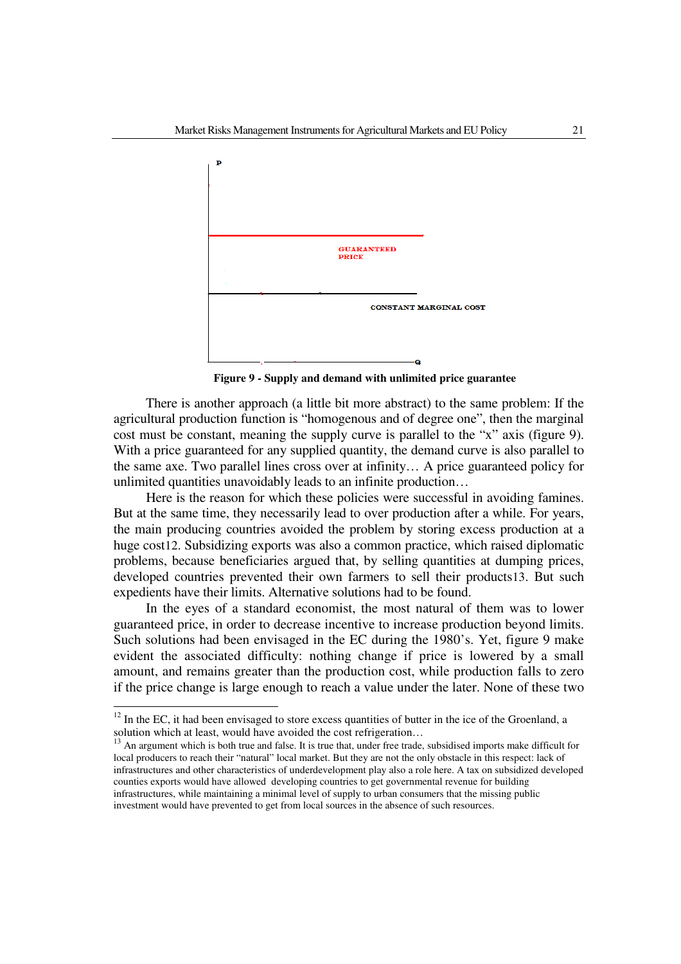

**Figure 9 - Supply and demand with unlimited price guarantee** 

There is another approach (a little bit more abstract) to the same problem: If the agricultural production function is "homogenous and of degree one", then the marginal cost must be constant, meaning the supply curve is parallel to the "x" axis (figure 9). With a price guaranteed for any supplied quantity, the demand curve is also parallel to the same axe. Two parallel lines cross over at infinity… A price guaranteed policy for unlimited quantities unavoidably leads to an infinite production…

 Here is the reason for which these policies were successful in avoiding famines. But at the same time, they necessarily lead to over production after a while. For years, the main producing countries avoided the problem by storing excess production at a huge cost12. Subsidizing exports was also a common practice, which raised diplomatic problems, because beneficiaries argued that, by selling quantities at dumping prices, developed countries prevented their own farmers to sell their products13. But such expedients have their limits. Alternative solutions had to be found.

In the eyes of a standard economist, the most natural of them was to lower guaranteed price, in order to decrease incentive to increase production beyond limits. Such solutions had been envisaged in the EC during the 1980's. Yet, figure 9 make evident the associated difficulty: nothing change if price is lowered by a small amount, and remains greater than the production cost, while production falls to zero if the price change is large enough to reach a value under the later. None of these two

 $12$  In the EC, it had been envisaged to store excess quantities of butter in the ice of the Groenland, a solution which at least, would have avoided the cost refrigeration…

 $13$  An argument which is both true and false. It is true that, under free trade, subsidised imports make difficult for local producers to reach their "natural" local market. But they are not the only obstacle in this respect: lack of infrastructures and other characteristics of underdevelopment play also a role here. A tax on subsidized developed counties exports would have allowed developing countries to get governmental revenue for building infrastructures, while maintaining a minimal level of supply to urban consumers that the missing public investment would have prevented to get from local sources in the absence of such resources.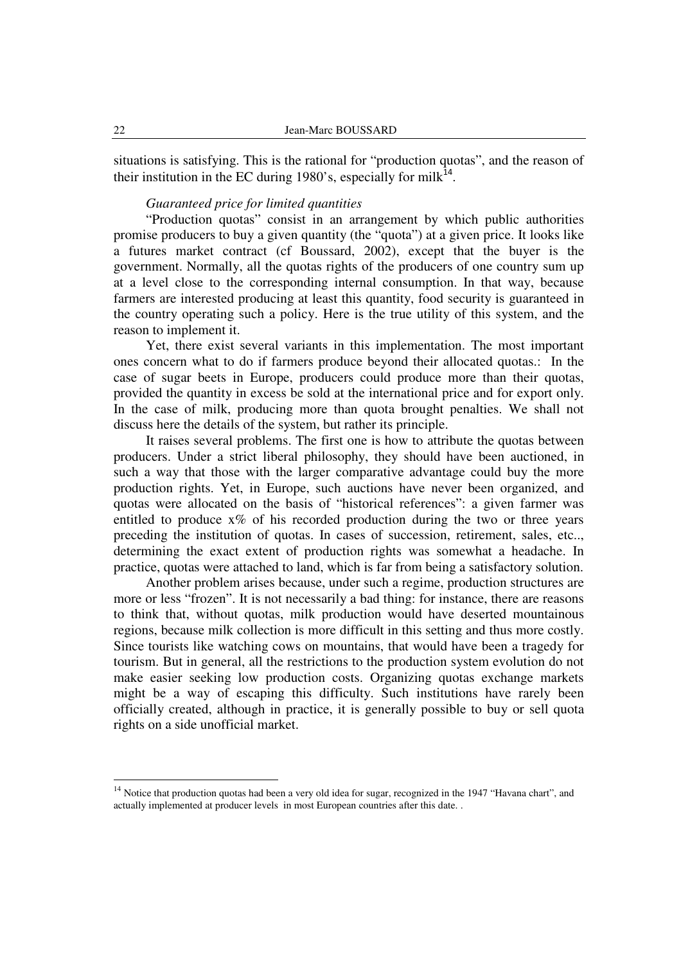situations is satisfying. This is the rational for "production quotas", and the reason of their institution in the EC during 1980's, especially for milk<sup>14</sup>.

## *Guaranteed price for limited quantities*

"Production quotas" consist in an arrangement by which public authorities promise producers to buy a given quantity (the "quota") at a given price. It looks like a futures market contract (cf Boussard, 2002), except that the buyer is the government. Normally, all the quotas rights of the producers of one country sum up at a level close to the corresponding internal consumption. In that way, because farmers are interested producing at least this quantity, food security is guaranteed in the country operating such a policy. Here is the true utility of this system, and the reason to implement it.

Yet, there exist several variants in this implementation. The most important ones concern what to do if farmers produce beyond their allocated quotas.: In the case of sugar beets in Europe, producers could produce more than their quotas, provided the quantity in excess be sold at the international price and for export only. In the case of milk, producing more than quota brought penalties. We shall not discuss here the details of the system, but rather its principle.

It raises several problems. The first one is how to attribute the quotas between producers. Under a strict liberal philosophy, they should have been auctioned, in such a way that those with the larger comparative advantage could buy the more production rights. Yet, in Europe, such auctions have never been organized, and quotas were allocated on the basis of "historical references": a given farmer was entitled to produce  $x\%$  of his recorded production during the two or three years preceding the institution of quotas. In cases of succession, retirement, sales, etc.., determining the exact extent of production rights was somewhat a headache. In practice, quotas were attached to land, which is far from being a satisfactory solution.

Another problem arises because, under such a regime, production structures are more or less "frozen". It is not necessarily a bad thing: for instance, there are reasons to think that, without quotas, milk production would have deserted mountainous regions, because milk collection is more difficult in this setting and thus more costly. Since tourists like watching cows on mountains, that would have been a tragedy for tourism. But in general, all the restrictions to the production system evolution do not make easier seeking low production costs. Organizing quotas exchange markets might be a way of escaping this difficulty. Such institutions have rarely been officially created, although in practice, it is generally possible to buy or sell quota rights on a side unofficial market.

l

<sup>&</sup>lt;sup>14</sup> Notice that production quotas had been a very old idea for sugar, recognized in the 1947 "Havana chart", and actually implemented at producer levels in most European countries after this date. .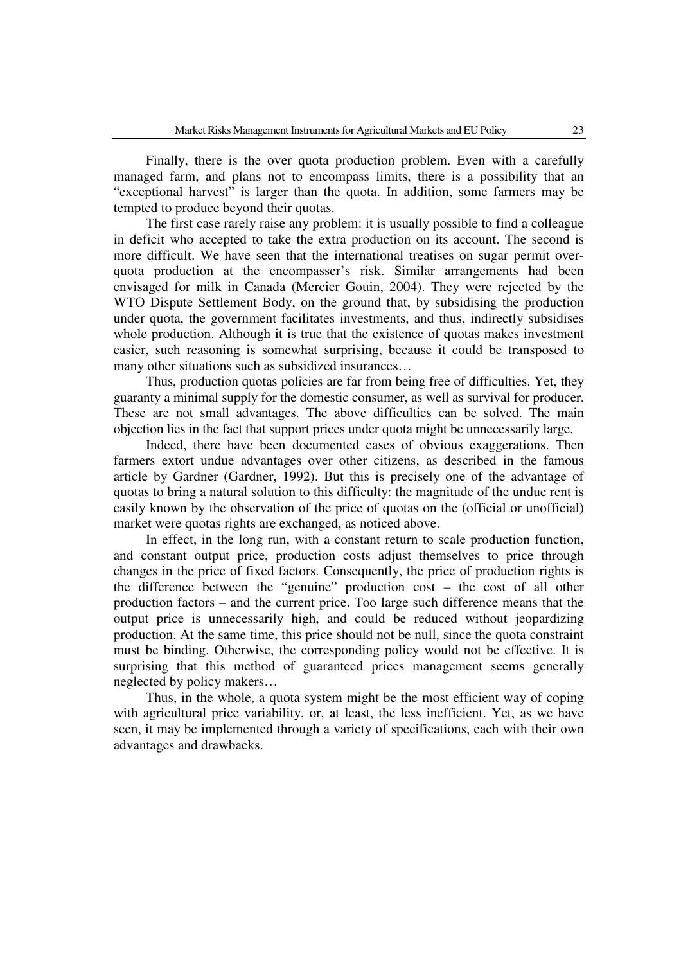Finally, there is the over quota production problem. Even with a carefully managed farm, and plans not to encompass limits, there is a possibility that an "exceptional harvest" is larger than the quota. In addition, some farmers may be tempted to produce beyond their quotas.

The first case rarely raise any problem: it is usually possible to find a colleague in deficit who accepted to take the extra production on its account. The second is more difficult. We have seen that the international treatises on sugar permit overquota production at the encompasser's risk. Similar arrangements had been envisaged for milk in Canada (Mercier Gouin, 2004). They were rejected by the WTO Dispute Settlement Body, on the ground that, by subsidising the production under quota, the government facilitates investments, and thus, indirectly subsidises whole production. Although it is true that the existence of quotas makes investment easier, such reasoning is somewhat surprising, because it could be transposed to many other situations such as subsidized insurances…

Thus, production quotas policies are far from being free of difficulties. Yet, they guaranty a minimal supply for the domestic consumer, as well as survival for producer. These are not small advantages. The above difficulties can be solved. The main objection lies in the fact that support prices under quota might be unnecessarily large.

Indeed, there have been documented cases of obvious exaggerations. Then farmers extort undue advantages over other citizens, as described in the famous article by Gardner (Gardner, 1992). But this is precisely one of the advantage of quotas to bring a natural solution to this difficulty: the magnitude of the undue rent is easily known by the observation of the price of quotas on the (official or unofficial) market were quotas rights are exchanged, as noticed above.

In effect, in the long run, with a constant return to scale production function, and constant output price, production costs adjust themselves to price through changes in the price of fixed factors. Consequently, the price of production rights is the difference between the "genuine" production cost – the cost of all other production factors – and the current price. Too large such difference means that the output price is unnecessarily high, and could be reduced without jeopardizing production. At the same time, this price should not be null, since the quota constraint must be binding. Otherwise, the corresponding policy would not be effective. It is surprising that this method of guaranteed prices management seems generally neglected by policy makers…

Thus, in the whole, a quota system might be the most efficient way of coping with agricultural price variability, or, at least, the less inefficient. Yet, as we have seen, it may be implemented through a variety of specifications, each with their own advantages and drawbacks.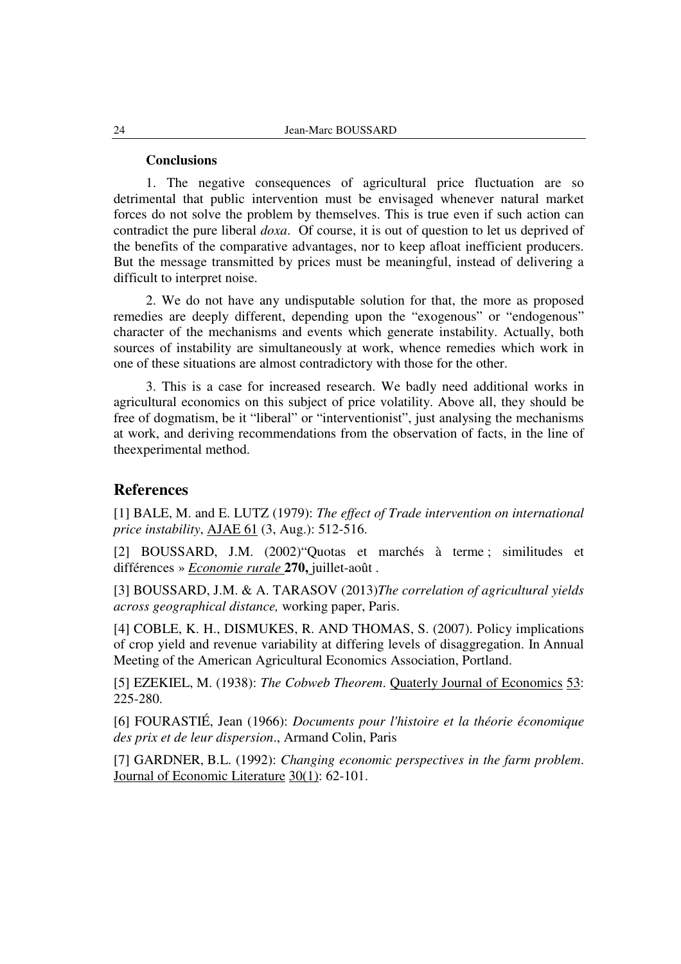#### **Conclusions**

1. The negative consequences of agricultural price fluctuation are so detrimental that public intervention must be envisaged whenever natural market forces do not solve the problem by themselves. This is true even if such action can contradict the pure liberal *doxa*. Of course, it is out of question to let us deprived of the benefits of the comparative advantages, nor to keep afloat inefficient producers. But the message transmitted by prices must be meaningful, instead of delivering a difficult to interpret noise.

2. We do not have any undisputable solution for that, the more as proposed remedies are deeply different, depending upon the "exogenous" or "endogenous" character of the mechanisms and events which generate instability. Actually, both sources of instability are simultaneously at work, whence remedies which work in one of these situations are almost contradictory with those for the other.

3. This is a case for increased research. We badly need additional works in agricultural economics on this subject of price volatility. Above all, they should be free of dogmatism, be it "liberal" or "interventionist", just analysing the mechanisms at work, and deriving recommendations from the observation of facts, in the line of theexperimental method.

## **References**

[1] BALE, M. and E. LUTZ (1979): *The effect of Trade intervention on international price instability*, AJAE 61 (3, Aug.): 512-516.

[2] BOUSSARD, J.M. (2002)"Quotas et marchés à terme ; similitudes et différences » *Economie rurale* **270,** juillet-août .

[3] BOUSSARD, J.M. & A. TARASOV (2013)*The correlation of agricultural yields across geographical distance,* working paper, Paris.

[4] COBLE, K. H., DISMUKES, R. AND THOMAS, S. (2007). Policy implications of crop yield and revenue variability at differing levels of disaggregation. In Annual Meeting of the American Agricultural Economics Association, Portland.

[5] EZEKIEL, M. (1938): *The Cobweb Theorem*. Quaterly Journal of Economics 53: 225-280.

[6] FOURASTIÉ, Jean (1966): *Documents pour l'histoire et la théorie économique des prix et de leur dispersion*., Armand Colin, Paris

[7] GARDNER, B.L. (1992): *Changing economic perspectives in the farm problem*. Journal of Economic Literature 30(1): 62-101.